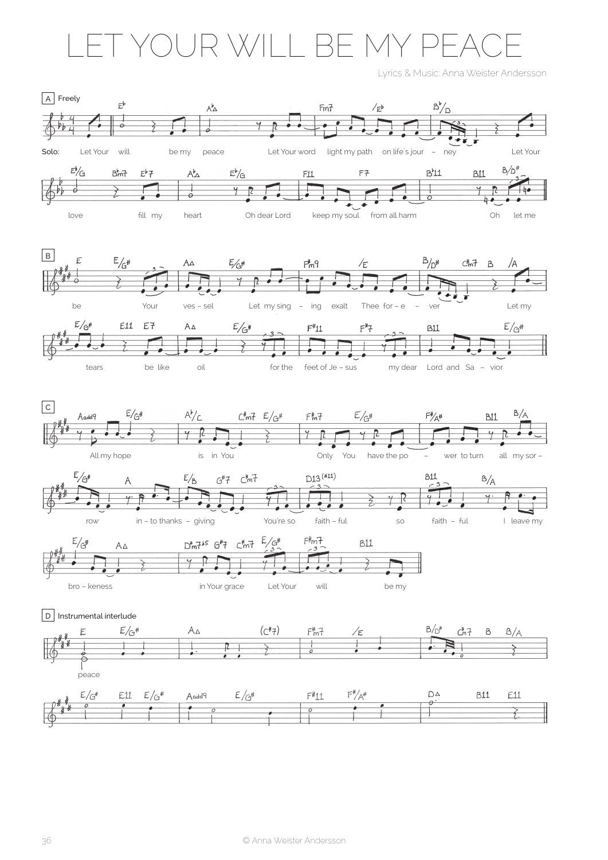## YOUR WILL BE MY PE  $\triangle$

Lyrics & Music: Anna Weister Andersson